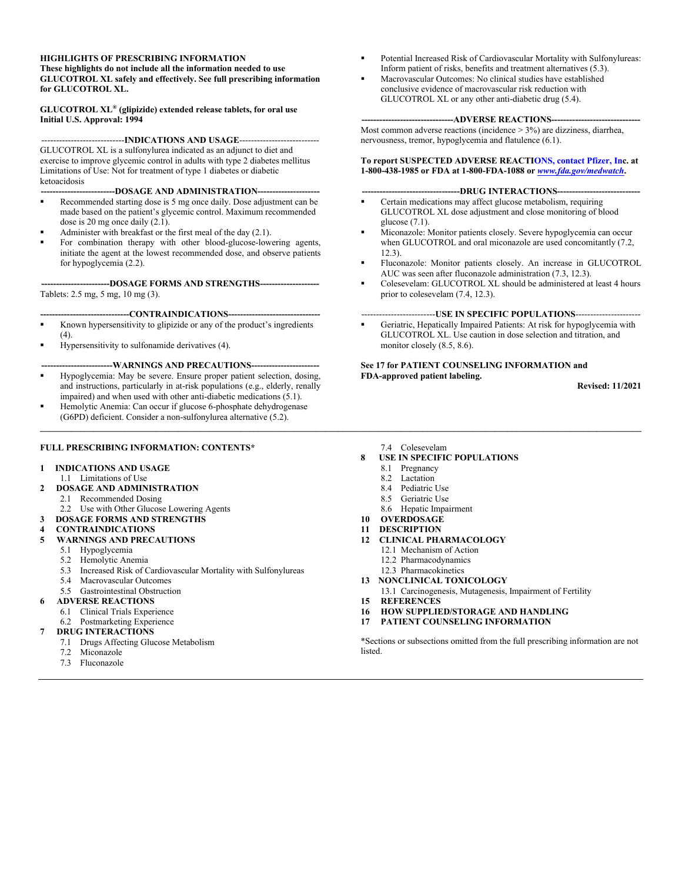#### **HIGHLIGHTS OF PRESCRIBING INFORMATION**

**These highlights do not include all the information needed to use GLUCOTROL XL safely and effectively. See full prescribing information for GLUCOTROL XL.**

**GLUCOTROL XL® (glipizide) extended release tablets, for oral use Initial U.S. Approval: 1994**

----------------------------**INDICATIONS AND USAGE**---------------------------

GLUCOTROL XL is a sulfonylurea indicated as an adjunct to diet and exercise to improve glycemic control in adults with type 2 diabetes mellitus Limitations of Use: Not for treatment of type 1 diabetes or diabetic ketoacidosis

**-DOSAGE AND ADMINISTRATION--**

- Recommended starting dose is 5 mg once daily. Dose adjustment can be made based on the patient's glycemic control. Maximum recommended dose is 20 mg once daily (2.1).
- Administer with breakfast or the first meal of the day (2.1).
- For combination therapy with other blood-glucose-lowering agents, initiate the agent at the lowest recommended dose, and observe patients for hypoglycemia (2.2).

**-----------------------DOSAGE FORMS AND STRENGTHS--------------------** Tablets: 2.5 mg, 5 mg, 10 mg (3).

## **------------------------------CONTRAINDICATIONS-------------------------------**

- Known hypersensitivity to glipizide or any of the product's ingredients  $(4)$ .
- Hypersensitivity to sulfonamide derivatives (4).

#### --WARNINGS AND PRECAUTIONS--

- Hypoglycemia: May be severe. Ensure proper patient selection, dosing, and instructions, particularly in at-risk populations (e.g., elderly, renally impaired) and when used with other anti-diabetic medications (5.1). Hemolytic Anemia: Can occur if glucose 6-phosphate dehydrogenase
- (G6PD) deficient. Consider a non-sulfonylurea alternative (5.2).  $\mathcal{L} = \{ \mathcal{L} = \{ \mathcal{L} = \{ \mathcal{L} = \{ \mathcal{L} = \{ \mathcal{L} = \{ \mathcal{L} = \{ \mathcal{L} = \{ \mathcal{L} = \{ \mathcal{L} = \{ \mathcal{L} = \{ \mathcal{L} = \{ \mathcal{L} = \{ \mathcal{L} = \{ \mathcal{L} = \{ \mathcal{L} = \{ \mathcal{L} = \{ \mathcal{L} = \{ \mathcal{L} = \{ \mathcal{L} = \{ \mathcal{L} = \{ \mathcal{L} = \{ \mathcal{L} = \{ \mathcal{L} = \{ \mathcal{$

### **FULL PRESCRIBING INFORMATION: CONTENTS\***

#### **1 INDICATIONS AND USAGE**

- 1.1 Limitations of Use
- **2 DOSAGE AND ADMINISTRATION**
	- 2.1 Recommended Dosing
	- 2.2 Use with Other Glucose Lowering Agents
- **3 DOSAGE FORMS AND STRENGTHS**
- **4 CONTRAINDICATIONS**

### **5 WARNINGS AND PRECAUTIONS**

- 5.1 Hypoglycemia
- 5.2 Hemolytic Anemia
- 5.3 Increased Risk of Cardiovascular Mortality with Sulfonylureas
- 5.4 Macrovascular Outcomes
- 5.5 Gastrointestinal Obstruction

#### **6 ADVERSE REACTIONS**

- 6.1 Clinical Trials Experience
- 6.2 Postmarketing Experience

#### **7 DRUG INTERACTIONS**

- 7.1 Drugs Affecting Glucose Metabolism
- 7.2 Miconazole
- 7.3 Fluconazole
- Potential Increased Risk of Cardiovascular Mortality with Sulfonylureas: Inform patient of risks, benefits and treatment alternatives (5.3).
- Macrovascular Outcomes: No clinical studies have established conclusive evidence of macrovascular risk reduction with GLUCOTROL XL or any other anti-diabetic drug (5.4).

#### ---ADVERSE REACTIONS---

Most common adverse reactions (incidence > 3%) are dizziness, diarrhea, nervousness, tremor, hypoglycemia and flatulence (6.1).

**To report SUSPECTED ADVERSE REACTI[ONS, contact Pfizer, Inc](http://www.fda.gov/medwatch). at 1-800-438-1985 or FDA at 1-800-FDA-1088 or** *www.fda.gov/medwatch***.**

#### ----DRUG INTERACTIONS--

- **•** Certain medications may affect glucose metabolism, requiring GLUCOTROL XL dose adjustment and close monitoring of blood glucose (7.1).
- Miconazole: Monitor patients closely. Severe hypoglycemia can occur when GLUCOTROL and oral miconazole are used concomitantly (7.2, 12.3).
- Fluconazole: Monitor patients closely. An increase in GLUCOTROL AUC was seen after fluconazole administration (7.3, 12.3).
- Colesevelam: GLUCOTROL XL should be administered at least 4 hours prior to colesevelam (7.4, 12.3).

#### -------------------------**USE IN SPECIFIC POPULATIONS**----------------------

 Geriatric, Hepatically Impaired Patients: At risk for hypoglycemia with GLUCOTROL XL. Use caution in dose selection and titration, and monitor closely (8.5, 8.6).

#### **See 17 for PATIENT COUNSELING INFORMATION and FDA-approved patient labeling.**

**Revised: 11/2021**

- 7.4 Colesevelam
- **8 USE IN SPECIFIC POPULATIONS**
	- 8.1 Pregnancy
	- 8.2 Lactation
	- 8.4 Pediatric Use
	- 8.5 Geriatric Use
	- 8.6 Hepatic Impairment

## **10 OVERDOSAGE**

- **11 DESCRIPTION**
- **12 CLINICAL PHARMACOLOGY**
	- 12.1 Mechanism of Action
	- 12.2 Pharmacodynamics
	- 12.3 Pharmacokinetics
- **13 NONCLINICAL TOXICOLOGY**
- 13.1 Carcinogenesis, Mutagenesis, Impairment of Fertility **15 REFERENCES**
- **16 HOW SUPPLIED/STORAGE AND HANDLING**
- **17 PATIENT COUNSELING INFORMATION**

\*Sections or subsections omitted from the full prescribing information are not listed.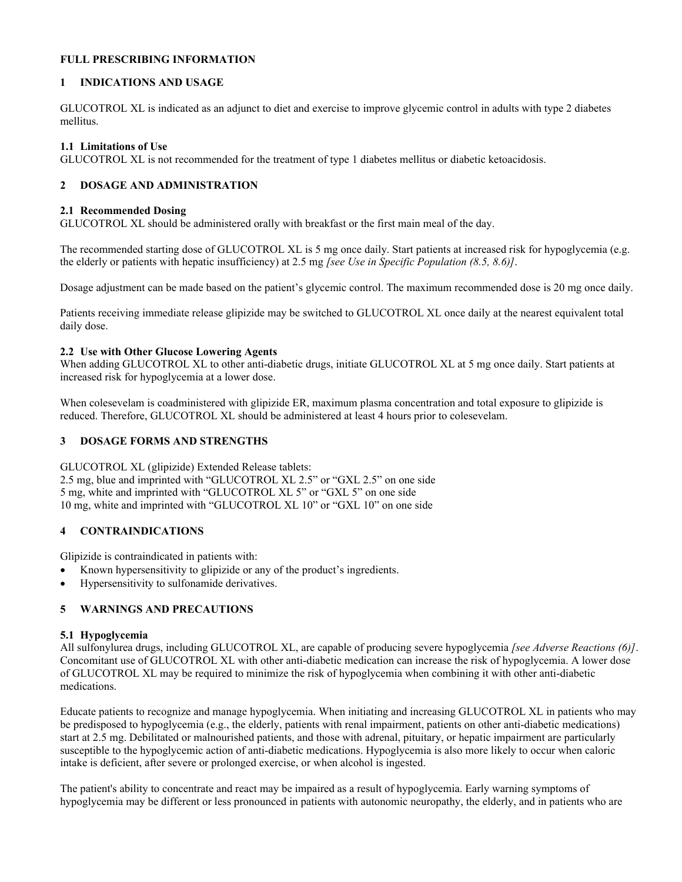### **FULL PRESCRIBING INFORMATION**

## **1 INDICATIONS AND USAGE**

GLUCOTROL XL is indicated as an adjunct to diet and exercise to improve glycemic control in adults with type 2 diabetes mellitus.

### **1.1 Limitations of Use**

GLUCOTROL XL is not recommended for the treatment of type 1 diabetes mellitus or diabetic ketoacidosis.

## **2 DOSAGE AND ADMINISTRATION**

#### **2.1 Recommended Dosing**

GLUCOTROL XL should be administered orally with breakfast or the first main meal of the day.

The recommended starting dose of GLUCOTROL XL is 5 mg once daily. Start patients at increased risk for hypoglycemia (e.g. the elderly or patients with hepatic insufficiency) at 2.5 mg *[see Use in Specific Population (8.5, 8.6)]*.

Dosage adjustment can be made based on the patient's glycemic control. The maximum recommended dose is 20 mg once daily.

Patients receiving immediate release glipizide may be switched to GLUCOTROL XL once daily at the nearest equivalent total daily dose.

### **2.2 Use with Other Glucose Lowering Agents**

When adding GLUCOTROL XL to other anti-diabetic drugs, initiate GLUCOTROL XL at 5 mg once daily. Start patients at increased risk for hypoglycemia at a lower dose.

When colesevelam is coadministered with glipizide ER, maximum plasma concentration and total exposure to glipizide is reduced. Therefore, GLUCOTROL XL should be administered at least 4 hours prior to colesevelam.

## **3 DOSAGE FORMS AND STRENGTHS**

GLUCOTROL XL (glipizide) Extended Release tablets:

2.5 mg, blue and imprinted with "GLUCOTROL XL 2.5" or "GXL 2.5" on one side 5 mg, white and imprinted with "GLUCOTROL XL 5" or "GXL 5" on one side 10 mg, white and imprinted with "GLUCOTROL XL 10" or "GXL 10" on one side

## **4 CONTRAINDICATIONS**

Glipizide is contraindicated in patients with:

- Known hypersensitivity to glipizide or any of the product's ingredients.
- Hypersensitivity to sulfonamide derivatives.

## **5 WARNINGS AND PRECAUTIONS**

#### **5.1 Hypoglycemia**

All sulfonylurea drugs, including GLUCOTROL XL, are capable of producing severe hypoglycemia *[see Adverse Reactions (6)]*. Concomitant use of GLUCOTROL XL with other anti-diabetic medication can increase the risk of hypoglycemia. A lower dose of GLUCOTROL XL may be required to minimize the risk of hypoglycemia when combining it with other anti-diabetic medications.

Educate patients to recognize and manage hypoglycemia. When initiating and increasing GLUCOTROL XL in patients who may be predisposed to hypoglycemia (e.g., the elderly, patients with renal impairment, patients on other anti-diabetic medications) start at 2.5 mg. Debilitated or malnourished patients, and those with adrenal, pituitary, or hepatic impairment are particularly susceptible to the hypoglycemic action of anti-diabetic medications. Hypoglycemia is also more likely to occur when caloric intake is deficient, after severe or prolonged exercise, or when alcohol is ingested.

The patient's ability to concentrate and react may be impaired as a result of hypoglycemia. Early warning symptoms of hypoglycemia may be different or less pronounced in patients with autonomic neuropathy, the elderly, and in patients who are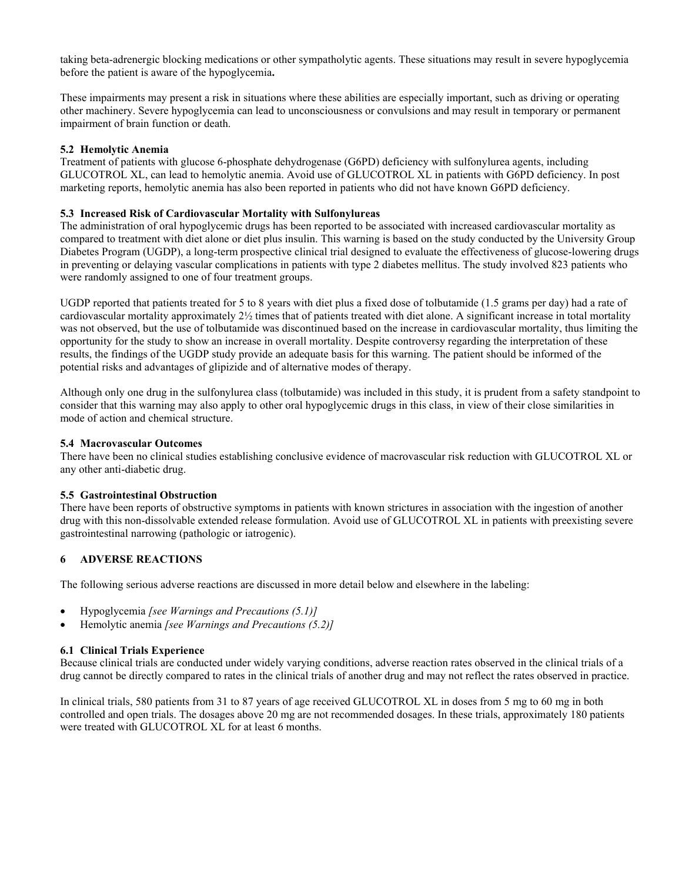taking beta-adrenergic blocking medications or other sympatholytic agents. These situations may result in severe hypoglycemia before the patient is aware of the hypoglycemia**.**

These impairments may present a risk in situations where these abilities are especially important, such as driving or operating other machinery. Severe hypoglycemia can lead to unconsciousness or convulsions and may result in temporary or permanent impairment of brain function or death.

## **5.2 Hemolytic Anemia**

Treatment of patients with glucose 6-phosphate dehydrogenase (G6PD) deficiency with sulfonylurea agents, including GLUCOTROL XL, can lead to hemolytic anemia. Avoid use of GLUCOTROL XL in patients with G6PD deficiency. In post marketing reports, hemolytic anemia has also been reported in patients who did not have known G6PD deficiency.

### **5.3 Increased Risk of Cardiovascular Mortality with Sulfonylureas**

The administration of oral hypoglycemic drugs has been reported to be associated with increased cardiovascular mortality as compared to treatment with diet alone or diet plus insulin. This warning is based on the study conducted by the University Group Diabetes Program (UGDP), a long-term prospective clinical trial designed to evaluate the effectiveness of glucose-lowering drugs in preventing or delaying vascular complications in patients with type 2 diabetes mellitus. The study involved 823 patients who were randomly assigned to one of four treatment groups.

UGDP reported that patients treated for 5 to 8 years with diet plus a fixed dose of tolbutamide (1.5 grams per day) had a rate of cardiovascular mortality approximately 2½ times that of patients treated with diet alone. A significant increase in total mortality was not observed, but the use of tolbutamide was discontinued based on the increase in cardiovascular mortality, thus limiting the opportunity for the study to show an increase in overall mortality. Despite controversy regarding the interpretation of these results, the findings of the UGDP study provide an adequate basis for this warning. The patient should be informed of the potential risks and advantages of glipizide and of alternative modes of therapy.

Although only one drug in the sulfonylurea class (tolbutamide) was included in this study, it is prudent from a safety standpoint to consider that this warning may also apply to other oral hypoglycemic drugs in this class, in view of their close similarities in mode of action and chemical structure.

#### **5.4 Macrovascular Outcomes**

There have been no clinical studies establishing conclusive evidence of macrovascular risk reduction with GLUCOTROL XL or any other anti-diabetic drug.

#### **5.5 Gastrointestinal Obstruction**

There have been reports of obstructive symptoms in patients with known strictures in association with the ingestion of another drug with this non-dissolvable extended release formulation. Avoid use of GLUCOTROL XL in patients with preexisting severe gastrointestinal narrowing (pathologic or iatrogenic).

## **6 ADVERSE REACTIONS**

The following serious adverse reactions are discussed in more detail below and elsewhere in the labeling:

- Hypoglycemia *[see Warnings and Precautions (5.1)]*
- Hemolytic anemia *[see Warnings and Precautions (5.2)]*

#### **6.1 Clinical Trials Experience**

Because clinical trials are conducted under widely varying conditions, adverse reaction rates observed in the clinical trials of a drug cannot be directly compared to rates in the clinical trials of another drug and may not reflect the rates observed in practice.

In clinical trials, 580 patients from 31 to 87 years of age received GLUCOTROL XL in doses from 5 mg to 60 mg in both controlled and open trials. The dosages above 20 mg are not recommended dosages. In these trials, approximately 180 patients were treated with GLUCOTROL XL for at least 6 months.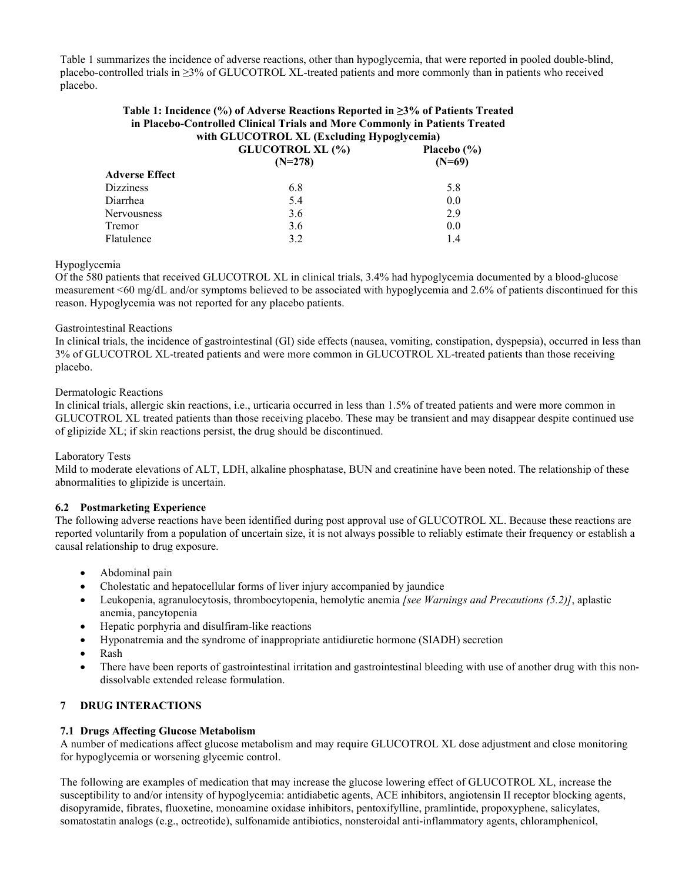Table 1 summarizes the incidence of adverse reactions, other than hypoglycemia, that were reported in pooled double-blind, placebo-controlled trials in ≥3% of GLUCOTROL XL-treated patients and more commonly than in patients who received placebo.

#### **Table 1: Incidence (%) of Adverse Reactions Reported in ≥3% of Patients Treated in Placebo-Controlled Clinical Trials and More Commonly in Patients Treated with GLUCOTROL XL (Excluding Hypoglycemia)**

|                       | $m_{\rm H}$ one connoming $m_{\rm H}$ positional |                 |  |
|-----------------------|--------------------------------------------------|-----------------|--|
|                       | <b>GLUCOTROL XL (%)</b>                          | Placebo $(\% )$ |  |
|                       | $(N=278)$                                        | $(N=69)$        |  |
| <b>Adverse Effect</b> |                                                  |                 |  |
| Dizziness             | 6.8                                              | 5.8             |  |
| Diarrhea              | 5.4                                              | 0.0             |  |
| Nervousness           | 3.6                                              | 2.9             |  |
| Tremor                | 3.6                                              | 0.0             |  |
| Flatulence            | 3.2                                              | 1.4             |  |
|                       |                                                  |                 |  |

## Hypoglycemia

Of the 580 patients that received GLUCOTROL XL in clinical trials, 3.4% had hypoglycemia documented by a blood-glucose measurement <60 mg/dL and/or symptoms believed to be associated with hypoglycemia and 2.6% of patients discontinued for this reason. Hypoglycemia was not reported for any placebo patients.

### Gastrointestinal Reactions

In clinical trials, the incidence of gastrointestinal (GI) side effects (nausea, vomiting, constipation, dyspepsia), occurred in less than 3% of GLUCOTROL XL-treated patients and were more common in GLUCOTROL XL-treated patients than those receiving placebo.

### Dermatologic Reactions

In clinical trials, allergic skin reactions, i.e., urticaria occurred in less than 1.5% of treated patients and were more common in GLUCOTROL XL treated patients than those receiving placebo. These may be transient and may disappear despite continued use of glipizide XL; if skin reactions persist, the drug should be discontinued.

#### Laboratory Tests

Mild to moderate elevations of ALT, LDH, alkaline phosphatase, BUN and creatinine have been noted. The relationship of these abnormalities to glipizide is uncertain.

#### **6.2 Postmarketing Experience**

The following adverse reactions have been identified during post approval use of GLUCOTROL XL. Because these reactions are reported voluntarily from a population of uncertain size, it is not always possible to reliably estimate their frequency or establish a causal relationship to drug exposure.

- Abdominal pain
- Cholestatic and hepatocellular forms of liver injury accompanied by jaundice
- Leukopenia, agranulocytosis, thrombocytopenia, hemolytic anemia *[see Warnings and Precautions (5.2)]*, aplastic anemia, pancytopenia
- Hepatic porphyria and disulfiram-like reactions
- Hyponatremia and the syndrome of inappropriate antidiuretic hormone (SIADH) secretion
- Rash
- There have been reports of gastrointestinal irritation and gastrointestinal bleeding with use of another drug with this nondissolvable extended release formulation.

## **7 DRUG INTERACTIONS**

## **7.1 Drugs Affecting Glucose Metabolism**

A number of medications affect glucose metabolism and may require GLUCOTROL XL dose adjustment and close monitoring for hypoglycemia or worsening glycemic control.

The following are examples of medication that may increase the glucose lowering effect of GLUCOTROL XL, increase the susceptibility to and/or intensity of hypoglycemia: antidiabetic agents, ACE inhibitors, angiotensin II receptor blocking agents, disopyramide, fibrates, fluoxetine, monoamine oxidase inhibitors, pentoxifylline, pramlintide, propoxyphene, salicylates, somatostatin analogs (e.g., octreotide), sulfonamide antibiotics, nonsteroidal anti-inflammatory agents, chloramphenicol,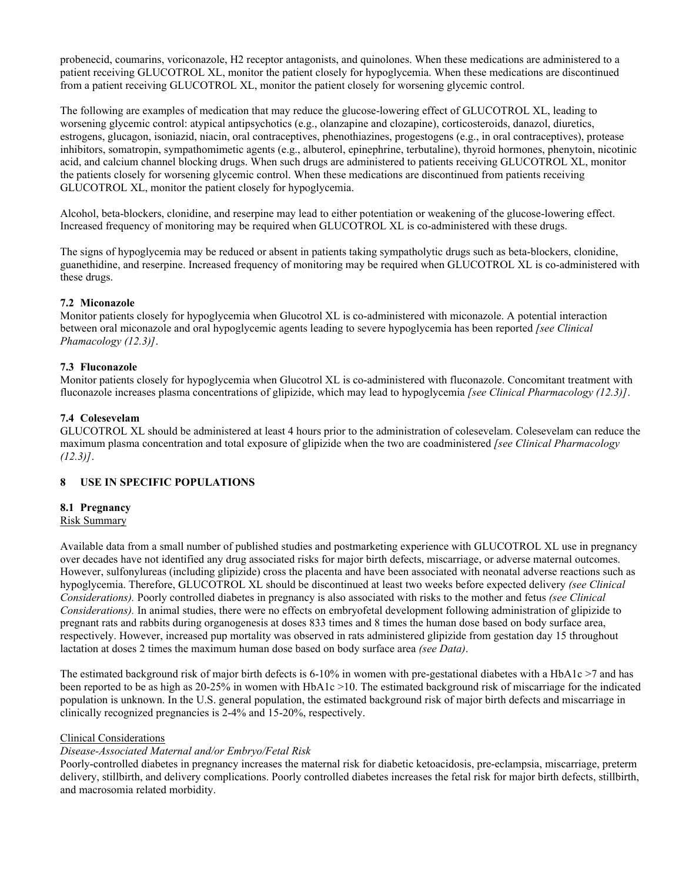probenecid, coumarins, voriconazole, H2 receptor antagonists, and quinolones. When these medications are administered to a patient receiving GLUCOTROL XL, monitor the patient closely for hypoglycemia. When these medications are discontinued from a patient receiving GLUCOTROL XL, monitor the patient closely for worsening glycemic control.

The following are examples of medication that may reduce the glucose-lowering effect of GLUCOTROL XL, leading to worsening glycemic control: atypical antipsychotics (e.g., olanzapine and clozapine), corticosteroids, danazol, diuretics, estrogens, glucagon, isoniazid, niacin, oral contraceptives, phenothiazines, progestogens (e.g., in oral contraceptives), protease inhibitors, somatropin, sympathomimetic agents (e.g., albuterol, epinephrine, terbutaline), thyroid hormones, phenytoin, nicotinic acid, and calcium channel blocking drugs. When such drugs are administered to patients receiving GLUCOTROL XL, monitor the patients closely for worsening glycemic control. When these medications are discontinued from patients receiving GLUCOTROL XL, monitor the patient closely for hypoglycemia.

Alcohol, beta-blockers, clonidine, and reserpine may lead to either potentiation or weakening of the glucose-lowering effect. Increased frequency of monitoring may be required when GLUCOTROL XL is co-administered with these drugs.

The signs of hypoglycemia may be reduced or absent in patients taking sympatholytic drugs such as beta-blockers, clonidine, guanethidine, and reserpine. Increased frequency of monitoring may be required when GLUCOTROL XL is co-administered with these drugs.

## **7.2 Miconazole**

Monitor patients closely for hypoglycemia when Glucotrol XL is co-administered with miconazole. A potential interaction between oral miconazole and oral hypoglycemic agents leading to severe hypoglycemia has been reported *[see Clinical Phamacology (12.3)]*.

## **7.3 Fluconazole**

Monitor patients closely for hypoglycemia when Glucotrol XL is co-administered with fluconazole. Concomitant treatment with fluconazole increases plasma concentrations of glipizide, which may lead to hypoglycemia *[see Clinical Pharmacology (12.3)]*.

## **7.4 Colesevelam**

GLUCOTROL XL should be administered at least 4 hours prior to the administration of colesevelam. Colesevelam can reduce the maximum plasma concentration and total exposure of glipizide when the two are coadministered *[see Clinical Pharmacology (12.3)]*.

## **8 USE IN SPECIFIC POPULATIONS**

## **8.1 Pregnancy**

## Risk Summary

Available data from a small number of published studies and postmarketing experience with GLUCOTROL XL use in pregnancy over decades have not identified any drug associated risks for major birth defects, miscarriage, or adverse maternal outcomes. However, sulfonylureas (including glipizide) cross the placenta and have been associated with neonatal adverse reactions such as hypoglycemia. Therefore, GLUCOTROL XL should be discontinued at least two weeks before expected delivery *(see Clinical Considerations).* Poorly controlled diabetes in pregnancy is also associated with risks to the mother and fetus *(see Clinical Considerations).* In animal studies, there were no effects on embryofetal development following administration of glipizide to pregnant rats and rabbits during organogenesis at doses 833 times and 8 times the human dose based on body surface area, respectively. However, increased pup mortality was observed in rats administered glipizide from gestation day 15 throughout lactation at doses 2 times the maximum human dose based on body surface area *(see Data)*.

The estimated background risk of major birth defects is 6-10% in women with pre-gestational diabetes with a HbA1c >7 and has been reported to be as high as 20-25% in women with HbA1c >10. The estimated background risk of miscarriage for the indicated population is unknown. In the U.S. general population, the estimated background risk of major birth defects and miscarriage in clinically recognized pregnancies is 2-4% and 15-20%, respectively.

## Clinical Considerations

## *Disease-Associated Maternal and/or Embryo/Fetal Risk*

Poorly-controlled diabetes in pregnancy increases the maternal risk for diabetic ketoacidosis, pre-eclampsia, miscarriage, preterm delivery, stillbirth, and delivery complications. Poorly controlled diabetes increases the fetal risk for major birth defects, stillbirth, and macrosomia related morbidity.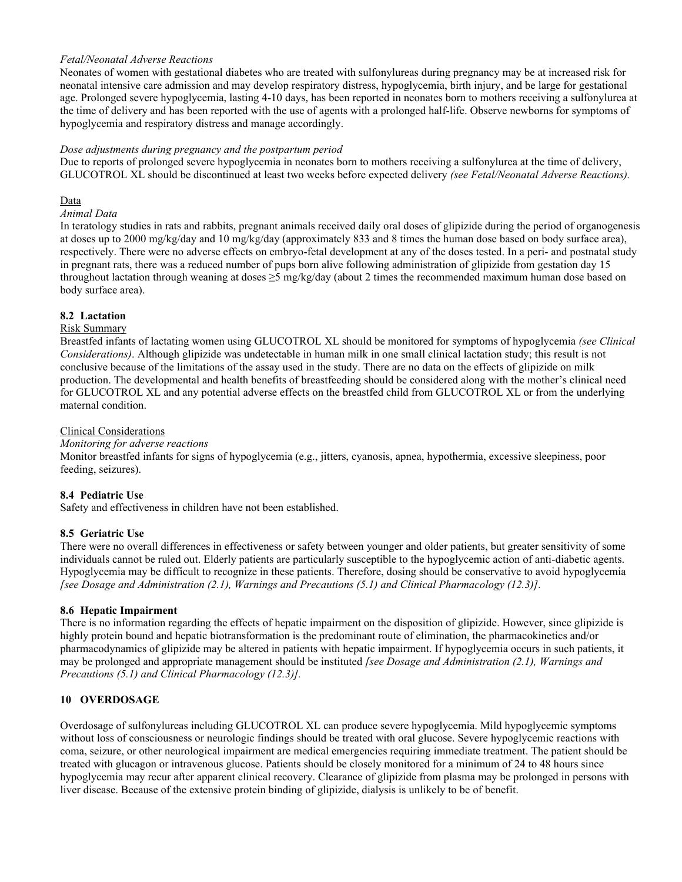## *Fetal/Neonatal Adverse Reactions*

Neonates of women with gestational diabetes who are treated with sulfonylureas during pregnancy may be at increased risk for neonatal intensive care admission and may develop respiratory distress, hypoglycemia, birth injury, and be large for gestational age. Prolonged severe hypoglycemia, lasting 4-10 days, has been reported in neonates born to mothers receiving a sulfonylurea at the time of delivery and has been reported with the use of agents with a prolonged half-life. Observe newborns for symptoms of hypoglycemia and respiratory distress and manage accordingly.

## *Dose adjustments during pregnancy and the postpartum period*

Due to reports of prolonged severe hypoglycemia in neonates born to mothers receiving a sulfonylurea at the time of delivery, GLUCOTROL XL should be discontinued at least two weeks before expected delivery *(see Fetal/Neonatal Adverse Reactions).*

#### Data

## *Animal Data*

In teratology studies in rats and rabbits, pregnant animals received daily oral doses of glipizide during the period of organogenesis at doses up to 2000 mg/kg/day and 10 mg/kg/day (approximately 833 and 8 times the human dose based on body surface area), respectively. There were no adverse effects on embryo-fetal development at any of the doses tested. In a peri- and postnatal study in pregnant rats, there was a reduced number of pups born alive following administration of glipizide from gestation day 15 throughout lactation through weaning at doses  $\geq 5$  mg/kg/day (about 2 times the recommended maximum human dose based on body surface area).

## **8.2 Lactation**

## Risk Summary

Breastfed infants of lactating women using GLUCOTROL XL should be monitored for symptoms of hypoglycemia *(see Clinical Considerations)*. Although glipizide was undetectable in human milk in one small clinical lactation study; this result is not conclusive because of the limitations of the assay used in the study. There are no data on the effects of glipizide on milk production. The developmental and health benefits of breastfeeding should be considered along with the mother's clinical need for GLUCOTROL XL and any potential adverse effects on the breastfed child from GLUCOTROL XL or from the underlying maternal condition.

#### Clinical Considerations

#### *Monitoring for adverse reactions*

Monitor breastfed infants for signs of hypoglycemia (e.g., jitters, cyanosis, apnea, hypothermia, excessive sleepiness, poor feeding, seizures).

## **8.4 Pediatric Use**

Safety and effectiveness in children have not been established.

## **8.5 Geriatric Use**

There were no overall differences in effectiveness or safety between younger and older patients, but greater sensitivity of some individuals cannot be ruled out. Elderly patients are particularly susceptible to the hypoglycemic action of anti-diabetic agents. Hypoglycemia may be difficult to recognize in these patients. Therefore, dosing should be conservative to avoid hypoglycemia *[see Dosage and Administration (2.1), Warnings and Precautions (5.1) and Clinical Pharmacology (12.3)].*

## **8.6 Hepatic Impairment**

There is no information regarding the effects of hepatic impairment on the disposition of glipizide. However, since glipizide is highly protein bound and hepatic biotransformation is the predominant route of elimination, the pharmacokinetics and/or pharmacodynamics of glipizide may be altered in patients with hepatic impairment. If hypoglycemia occurs in such patients, it may be prolonged and appropriate management should be instituted *[see Dosage and Administration (2.1), Warnings and Precautions (5.1) and Clinical Pharmacology (12.3)].*

## **10 OVERDOSAGE**

Overdosage of sulfonylureas including GLUCOTROL XL can produce severe hypoglycemia. Mild hypoglycemic symptoms without loss of consciousness or neurologic findings should be treated with oral glucose. Severe hypoglycemic reactions with coma, seizure, or other neurological impairment are medical emergencies requiring immediate treatment. The patient should be treated with glucagon or intravenous glucose. Patients should be closely monitored for a minimum of 24 to 48 hours since hypoglycemia may recur after apparent clinical recovery. Clearance of glipizide from plasma may be prolonged in persons with liver disease. Because of the extensive protein binding of glipizide, dialysis is unlikely to be of benefit.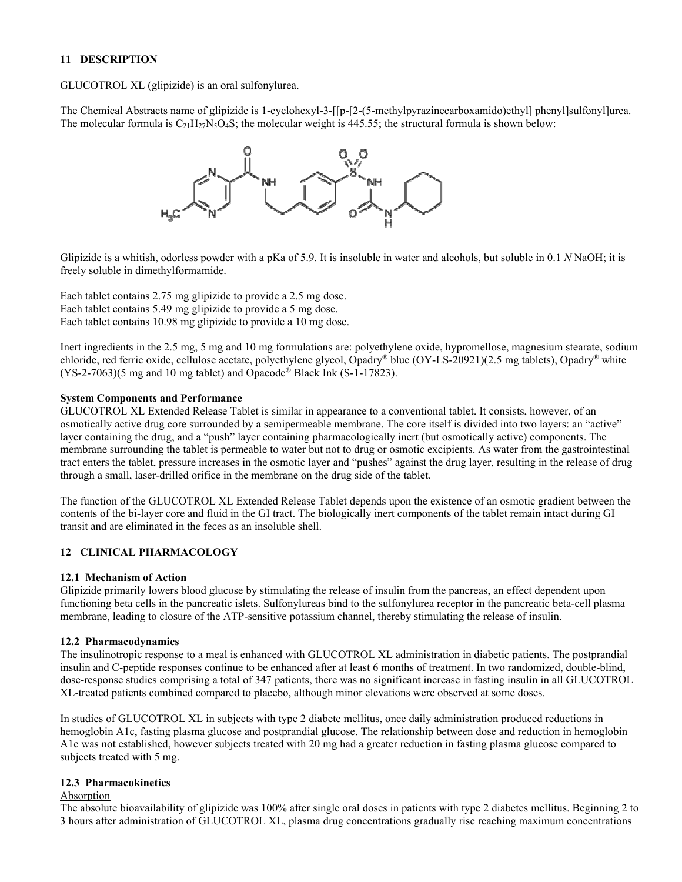## **11 DESCRIPTION**

GLUCOTROL XL (glipizide) is an oral sulfonylurea.

The Chemical Abstracts name of glipizide is 1-cyclohexyl-3-[[p-[2-(5-methylpyrazinecarboxamido)ethyl] phenyl]sulfonyl]urea. The molecular formula is  $C_{21}H_{27}N_5O_4S$ ; the molecular weight is 445.55; the structural formula is shown below:



Glipizide is a whitish, odorless powder with a pKa of 5.9. It is insoluble in water and alcohols, but soluble in 0.1 *N* NaOH; it is freely soluble in dimethylformamide.

Each tablet contains 2.75 mg glipizide to provide a 2.5 mg dose. Each tablet contains 5.49 mg glipizide to provide a 5 mg dose. Each tablet contains 10.98 mg glipizide to provide a 10 mg dose.

Inert ingredients in the 2.5 mg, 5 mg and 10 mg formulations are: polyethylene oxide, hypromellose, magnesium stearate, sodium chloride, red ferric oxide, cellulose acetate, polyethylene glycol, Opadry® blue (OY-LS-20921)(2.5 mg tablets), Opadry® white  $(YS-2-7063)$ (5 mg and 10 mg tablet) and Opacode® Black Ink (S-1-17823).

## **System Components and Performance**

GLUCOTROL XL Extended Release Tablet is similar in appearance to a conventional tablet. It consists, however, of an osmotically active drug core surrounded by a semipermeable membrane. The core itself is divided into two layers: an "active" layer containing the drug, and a "push" layer containing pharmacologically inert (but osmotically active) components. The membrane surrounding the tablet is permeable to water but not to drug or osmotic excipients. As water from the gastrointestinal tract enters the tablet, pressure increases in the osmotic layer and "pushes" against the drug layer, resulting in the release of drug through a small, laser-drilled orifice in the membrane on the drug side of the tablet.

The function of the GLUCOTROL XL Extended Release Tablet depends upon the existence of an osmotic gradient between the contents of the bi-layer core and fluid in the GI tract. The biologically inert components of the tablet remain intact during GI transit and are eliminated in the feces as an insoluble shell.

## **12 CLINICAL PHARMACOLOGY**

## **12.1 Mechanism of Action**

Glipizide primarily lowers blood glucose by stimulating the release of insulin from the pancreas, an effect dependent upon functioning beta cells in the pancreatic islets. Sulfonylureas bind to the sulfonylurea receptor in the pancreatic beta-cell plasma membrane, leading to closure of the ATP-sensitive potassium channel, thereby stimulating the release of insulin.

#### **12.2 Pharmacodynamics**

The insulinotropic response to a meal is enhanced with GLUCOTROL XL administration in diabetic patients. The postprandial insulin and C-peptide responses continue to be enhanced after at least 6 months of treatment. In two randomized, double-blind, dose-response studies comprising a total of 347 patients, there was no significant increase in fasting insulin in all GLUCOTROL XL-treated patients combined compared to placebo, although minor elevations were observed at some doses.

In studies of GLUCOTROL XL in subjects with type 2 diabete mellitus, once daily administration produced reductions in hemoglobin A1c, fasting plasma glucose and postprandial glucose. The relationship between dose and reduction in hemoglobin A1c was not established, however subjects treated with 20 mg had a greater reduction in fasting plasma glucose compared to subjects treated with 5 mg.

## **12.3 Pharmacokinetics**

#### Absorption

The absolute bioavailability of glipizide was 100% after single oral doses in patients with type 2 diabetes mellitus. Beginning 2 to 3 hours after administration of GLUCOTROL XL, plasma drug concentrations gradually rise reaching maximum concentrations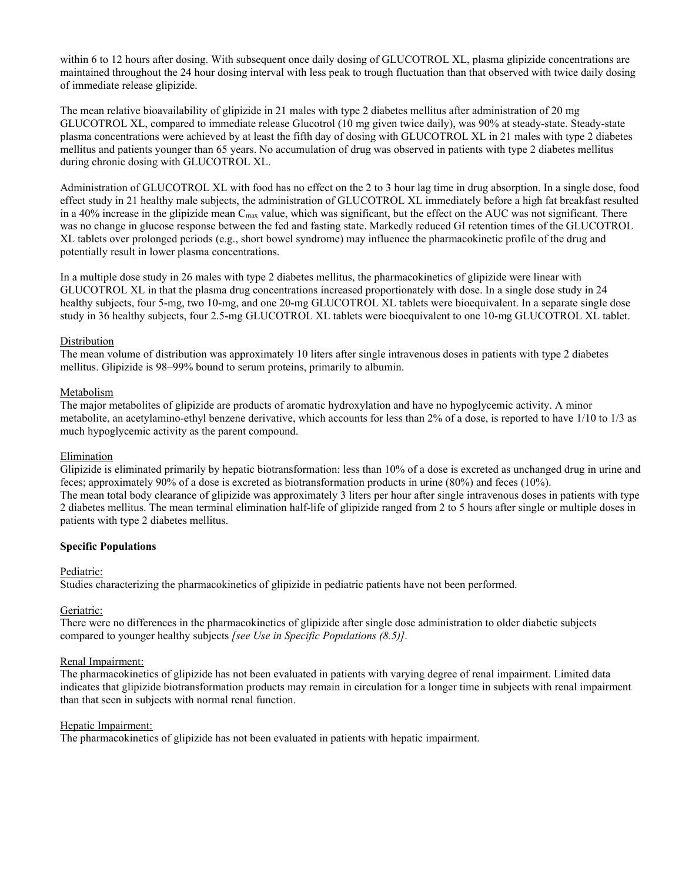within 6 to 12 hours after dosing. With subsequent once daily dosing of GLUCOTROL XL, plasma glipizide concentrations are maintained throughout the 24 hour dosing interval with less peak to trough fluctuation than that observed with twice daily dosing of immediate release glipizide.

The mean relative bioavailability of glipizide in 21 males with type 2 diabetes mellitus after administration of 20 mg GLUCOTROL XL, compared to immediate release Glucotrol (10 mg given twice daily), was 90% at steady-state. Steady-state plasma concentrations were achieved by at least the fifth day of dosing with GLUCOTROL XL in 21 males with type 2 diabetes mellitus and patients younger than 65 years. No accumulation of drug was observed in patients with type 2 diabetes mellitus during chronic dosing with GLUCOTROL XL.

Administration of GLUCOTROL XL with food has no effect on the 2 to 3 hour lag time in drug absorption. In a single dose, food effect study in 21 healthy male subjects, the administration of GLUCOTROL XL immediately before a high fat breakfast resulted in a 40% increase in the glipizide mean C<sub>max</sub> value, which was significant, but the effect on the AUC was not significant. There was no change in glucose response between the fed and fasting state. Markedly reduced GI retention times of the GLUCOTROL XL tablets over prolonged periods (e.g., short bowel syndrome) may influence the pharmacokinetic profile of the drug and potentially result in lower plasma concentrations.

In a multiple dose study in 26 males with type 2 diabetes mellitus, the pharmacokinetics of glipizide were linear with GLUCOTROL XL in that the plasma drug concentrations increased proportionately with dose. In a single dose study in 24 healthy subjects, four 5-mg, two 10-mg, and one 20-mg GLUCOTROL XL tablets were bioequivalent. In a separate single dose study in 36 healthy subjects, four 2.5-mg GLUCOTROL XL tablets were bioequivalent to one 10-mg GLUCOTROL XL tablet.

### Distribution

The mean volume of distribution was approximately 10 liters after single intravenous doses in patients with type 2 diabetes mellitus. Glipizide is 98–99% bound to serum proteins, primarily to albumin.

### Metabolism

The major metabolites of glipizide are products of aromatic hydroxylation and have no hypoglycemic activity. A minor metabolite, an acetylamino-ethyl benzene derivative, which accounts for less than 2% of a dose, is reported to have 1/10 to 1/3 as much hypoglycemic activity as the parent compound.

#### Elimination

Glipizide is eliminated primarily by hepatic biotransformation: less than 10% of a dose is excreted as unchanged drug in urine and feces; approximately 90% of a dose is excreted as biotransformation products in urine (80%) and feces (10%). The mean total body clearance of glipizide was approximately 3 liters per hour after single intravenous doses in patients with type 2 diabetes mellitus. The mean terminal elimination half-life of glipizide ranged from 2 to 5 hours after single or multiple doses in patients with type 2 diabetes mellitus.

#### **Specific Populations**

#### Pediatric:

Studies characterizing the pharmacokinetics of glipizide in pediatric patients have not been performed.

#### Geriatric:

There were no differences in the pharmacokinetics of glipizide after single dose administration to older diabetic subjects compared to younger healthy subjects *[see Use in Specific Populations (8.5)].*

#### Renal Impairment:

The pharmacokinetics of glipizide has not been evaluated in patients with varying degree of renal impairment. Limited data indicates that glipizide biotransformation products may remain in circulation for a longer time in subjects with renal impairment than that seen in subjects with normal renal function.

#### Hepatic Impairment:

The pharmacokinetics of glipizide has not been evaluated in patients with hepatic impairment.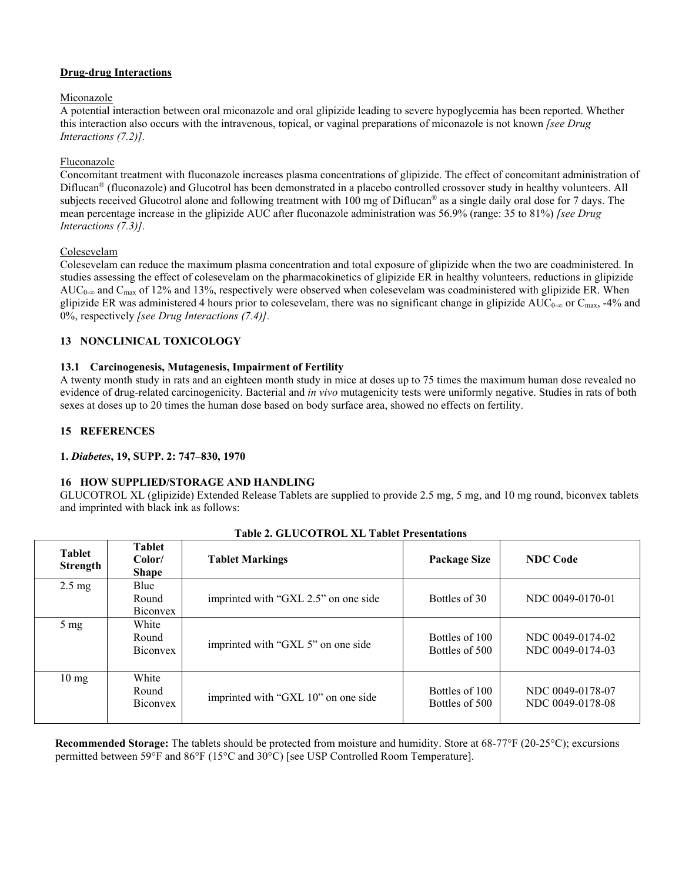## **Drug-drug Interactions**

## Miconazole

A potential interaction between oral miconazole and oral glipizide leading to severe hypoglycemia has been reported. Whether this interaction also occurs with the intravenous, topical, or vaginal preparations of miconazole is not known *[see Drug Interactions (7.2)].*

## Fluconazole

Concomitant treatment with fluconazole increases plasma concentrations of glipizide. The effect of concomitant administration of Diflucan® (fluconazole) and Glucotrol has been demonstrated in a placebo controlled crossover study in healthy volunteers. All subjects received Glucotrol alone and following treatment with 100 mg of Diflucan<sup>®</sup> as a single daily oral dose for 7 days. The mean percentage increase in the glipizide AUC after fluconazole administration was 56.9% (range: 35 to 81%) *[see Drug Interactions (7.3)].*

## Colesevelam

Colesevelam can reduce the maximum plasma concentration and total exposure of glipizide when the two are coadministered. In studies assessing the effect of colesevelam on the pharmacokinetics of glipizide ER in healthy volunteers, reductions in glipizide AUC<sub>0-∞</sub> and C<sub>max</sub> of 12% and 13%, respectively were observed when colesevelam was coadministered with glipizide ER. When glipizide ER was administered 4 hours prior to colesevelam, there was no significant change in glipizide AUC<sub>0-∞</sub> or C<sub>max</sub>, -4% and 0%, respectively *[see Drug Interactions (7.4)].*

## **13 NONCLINICAL TOXICOLOGY**

## **13.1 Carcinogenesis, Mutagenesis, Impairment of Fertility**

A twenty month study in rats and an eighteen month study in mice at doses up to 75 times the maximum human dose revealed no evidence of drug-related carcinogenicity. Bacterial and *in vivo* mutagenicity tests were uniformly negative. Studies in rats of both sexes at doses up to 20 times the human dose based on body surface area, showed no effects on fertility.

## **15 REFERENCES**

## **1.** *Diabetes***, 19, SUPP. 2: 747–830, 1970**

## **16 HOW SUPPLIED/STORAGE AND HANDLING**

GLUCOTROL XL (glipizide) Extended Release Tablets are supplied to provide 2.5 mg, 5 mg, and 10 mg round, biconvex tablets and imprinted with black ink as follows:

| <b>Tablet</b><br>Strength | <b>Tablet</b><br>Color/<br><b>Shape</b> | <b>Tablet Markings</b>               | <b>Package Size</b>              | <b>NDC</b> Code                      |
|---------------------------|-----------------------------------------|--------------------------------------|----------------------------------|--------------------------------------|
| $2.5 \text{ mg}$          | Blue<br>Round<br><b>Biconvex</b>        | imprinted with "GXL 2.5" on one side | Bottles of 30                    | NDC 0049-0170-01                     |
| $5 \text{ mg}$            | White<br>Round<br><b>Biconvex</b>       | imprinted with "GXL 5" on one side   | Bottles of 100<br>Bottles of 500 | NDC 0049-0174-02<br>NDC 0049-0174-03 |
| $10 \text{ mg}$           | White<br>Round<br><b>Biconvex</b>       | imprinted with "GXL 10" on one side  | Bottles of 100<br>Bottles of 500 | NDC 0049-0178-07<br>NDC 0049-0178-08 |

## **Table 2. GLUCOTROL XL Tablet Presentations**

**Recommended Storage:** The tablets should be protected from moisture and humidity. Store at 68-77°F (20-25°C); excursions permitted between 59°F and 86°F (15°C and 30°C) [see USP Controlled Room Temperature].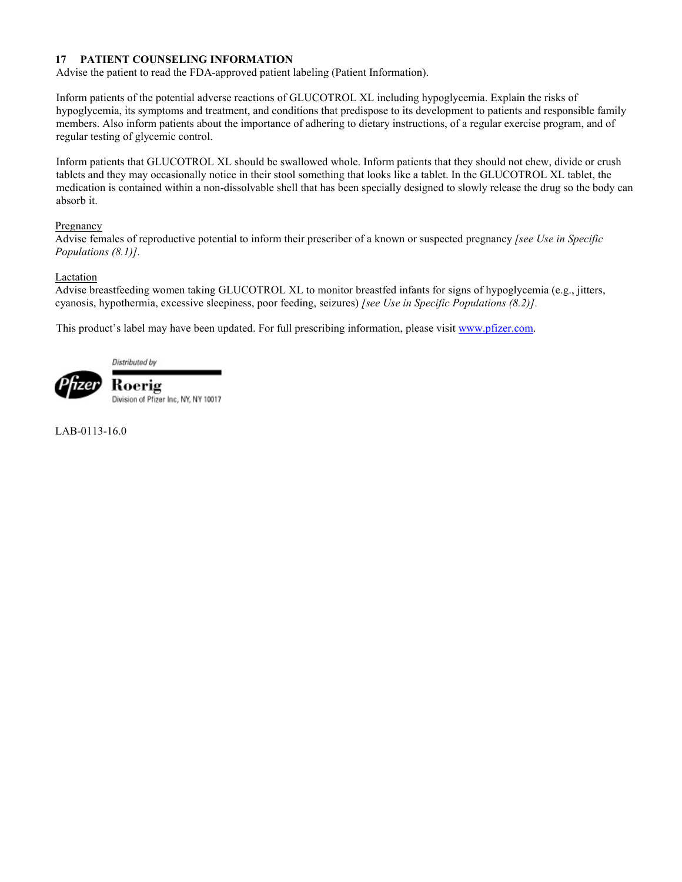## **17 PATIENT COUNSELING INFORMATION**

Advise the patient to read the FDA-approved patient labeling (Patient Information).

Inform patients of the potential adverse reactions of GLUCOTROL XL including hypoglycemia. Explain the risks of hypoglycemia, its symptoms and treatment, and conditions that predispose to its development to patients and responsible family members. Also inform patients about the importance of adhering to dietary instructions, of a regular exercise program, and of regular testing of glycemic control.

Inform patients that GLUCOTROL XL should be swallowed whole. Inform patients that they should not chew, divide or crush tablets and they may occasionally notice in their stool something that looks like a tablet. In the GLUCOTROL XL tablet, the medication is contained within a non-dissolvable shell that has been specially designed to slowly release the drug so the body can absorb it.

## Pregnancy

Advise females of reproductive potential to inform their prescriber of a known or suspected pregnancy *[see Use in Specific Populations (8.1)].*

### Lactation

Advise breastfeeding women taking GLUCOTROL XL to monitor breastfed infants for signs of hypoglycemia (e.g., jitters, cyanosis, hypothermia, excessive sleepiness, poor feeding, seizures) *[see Use in Specific [Populations \(8.2\)\]](http://www.pfizer.com/).*

This product's label may have been updated. For full prescribing information, please visit www.pfizer.com.

Distributed by



Koerig Division of Pfizer Inc, NY, NY 10017

LAB-0113-16.0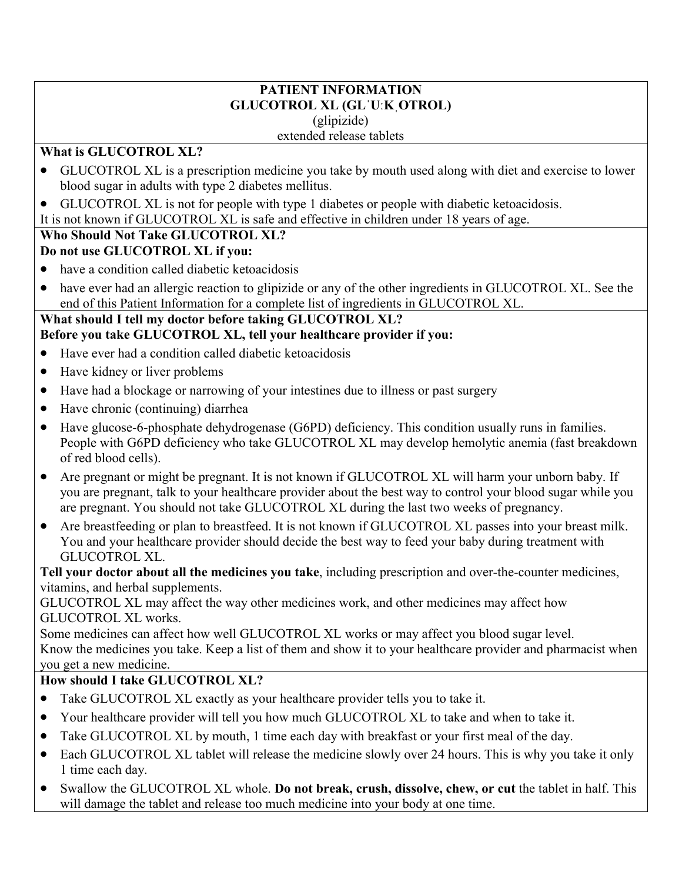## **PATIENT INFORMATION GLUCOTROL XL (GLˈUːKˌOTROL)** (glipizide) extended release tablets

## **What is GLUCOTROL XL?**

- GLUCOTROL XL is a prescription medicine you take by mouth used along with diet and exercise to lower blood sugar in adults with type 2 diabetes mellitus.
- GLUCOTROL XL is not for people with type 1 diabetes or people with diabetic ketoacidosis.

It is not known if GLUCOTROL XL is safe and effective in children under 18 years of age.

# **Who Should Not Take GLUCOTROL XL?**

# **Do not use GLUCOTROL XL if you:**

- have a condition called diabetic ketoacidosis
- have ever had an allergic reaction to glipizide or any of the other ingredients in GLUCOTROL XL. See the end of this Patient Information for a complete list of ingredients in GLUCOTROL XL.

## **What should I tell my doctor before taking GLUCOTROL XL? Before you take GLUCOTROL XL, tell your healthcare provider if you:**

- Have ever had a condition called diabetic ketoacidosis
- Have kidney or liver problems
- Have had a blockage or narrowing of your intestines due to illness or past surgery
- Have chronic (continuing) diarrhea
- Have glucose-6-phosphate dehydrogenase (G6PD) deficiency. This condition usually runs in families. People with G6PD deficiency who take GLUCOTROL XL may develop hemolytic anemia (fast breakdown of red blood cells).
- Are pregnant or might be pregnant. It is not known if GLUCOTROL XL will harm your unborn baby. If you are pregnant, talk to your healthcare provider about the best way to control your blood sugar while you are pregnant. You should not take GLUCOTROL XL during the last two weeks of pregnancy.
- Are breastfeeding or plan to breastfeed. It is not known if GLUCOTROL XL passes into your breast milk. You and your healthcare provider should decide the best way to feed your baby during treatment with GLUCOTROL XL.

**Tell your doctor about all the medicines you take**, including prescription and over-the-counter medicines, vitamins, and herbal supplements.

GLUCOTROL XL may affect the way other medicines work, and other medicines may affect how GLUCOTROL XL works.

Some medicines can affect how well GLUCOTROL XL works or may affect you blood sugar level. Know the medicines you take. Keep a list of them and show it to your healthcare provider and pharmacist when you get a new medicine.

# **How should I take GLUCOTROL XL?**

- Take GLUCOTROL XL exactly as your healthcare provider tells you to take it.
- Your healthcare provider will tell you how much GLUCOTROL XL to take and when to take it.
- Take GLUCOTROL XL by mouth, 1 time each day with breakfast or your first meal of the day.
- Each GLUCOTROL XL tablet will release the medicine slowly over 24 hours. This is why you take it only 1 time each day.
- Swallow the GLUCOTROL XL whole. **Do not break, crush, dissolve, chew, or cut** the tablet in half. This will damage the tablet and release too much medicine into your body at one time.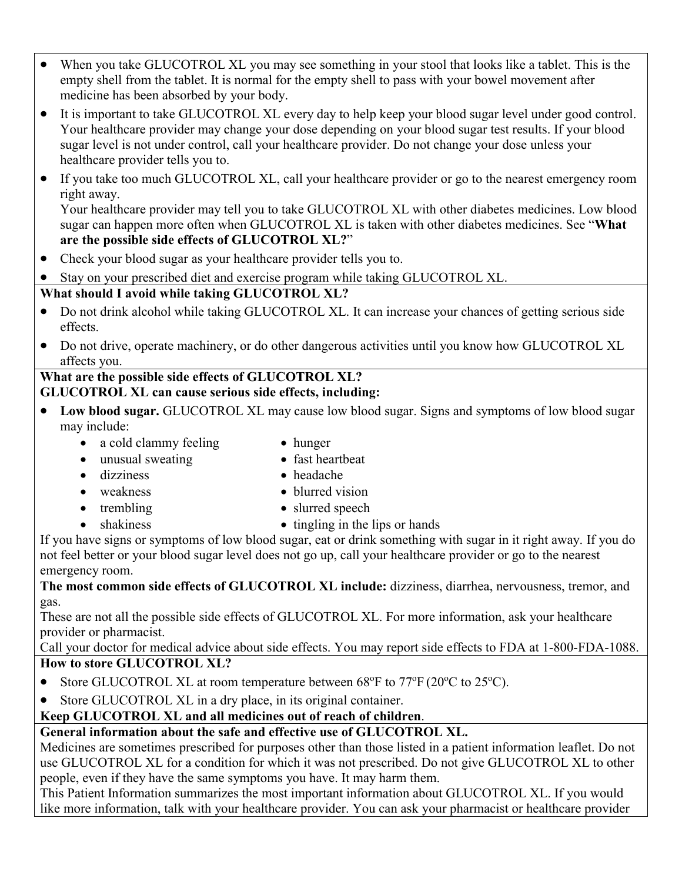- When you take GLUCOTROL XL you may see something in your stool that looks like a tablet. This is the empty shell from the tablet. It is normal for the empty shell to pass with your bowel movement after medicine has been absorbed by your body.
- It is important to take GLUCOTROL XL every day to help keep your blood sugar level under good control. Your healthcare provider may change your dose depending on your blood sugar test results. If your blood sugar level is not under control, call your healthcare provider. Do not change your dose unless your healthcare provider tells you to.
- If you take too much GLUCOTROL XL, call your healthcare provider or go to the nearest emergency room right away.

Your healthcare provider may tell you to take GLUCOTROL XL with other diabetes medicines. Low blood sugar can happen more often when GLUCOTROL XL is taken with other diabetes medicines. See "**What are the possible side effects of GLUCOTROL XL?**"

- Check your blood sugar as your healthcare provider tells you to.
- Stay on your prescribed diet and exercise program while taking GLUCOTROL XL.

# **What should I avoid while taking GLUCOTROL XL?**

- Do not drink alcohol while taking GLUCOTROL XL. It can increase your chances of getting serious side effects.
- Do not drive, operate machinery, or do other dangerous activities until you know how GLUCOTROL XL affects you.

## **What are the possible side effects of GLUCOTROL XL? GLUCOTROL XL can cause serious side effects, including:**

- Low blood sugar. **GLUCOTROL XL** may cause low blood sugar. Signs and symptoms of low blood sugar may include:
	- a cold clammy feeling hunger
- - unusual sweating fast heartbeat
		-
	- dizziness headache
		-
- 
- weakness blurred vision
	- trembling <br>
	slurred speech
- shakiness tingling in the lips or hands

If you have signs or symptoms of low blood sugar, eat or drink something with sugar in it right away. If you do not feel better or your blood sugar level does not go up, call your healthcare provider or go to the nearest emergency room.

**The most common side effects of GLUCOTROL XL include:** dizziness, diarrhea, nervousness, tremor, and gas.

These are not all the possible side effects of GLUCOTROL XL. For more information, ask your healthcare provider or pharmacist.

Call your doctor for medical advice about side effects. You may report side effects to FDA at 1-800-FDA-1088. **How to store GLUCOTROL XL?**

- Store GLUCOTROL XL at room temperature between  $68^{\circ}$ F to  $77^{\circ}$ F (20 $^{\circ}$ C to 25 $^{\circ}$ C).
- Store GLUCOTROL XL in a dry place, in its original container.

# **Keep GLUCOTROL XL and all medicines out of reach of children**.

# **General information about the safe and effective use of GLUCOTROL XL.**

Medicines are sometimes prescribed for purposes other than those listed in a patient information leaflet. Do not use GLUCOTROL XL for a condition for which it was not prescribed. Do not give GLUCOTROL XL to other people, even if they have the same symptoms you have. It may harm them.

This Patient Information summarizes the most important information about GLUCOTROL XL. If you would like more information, talk with your healthcare provider. You can ask your pharmacist or healthcare provider